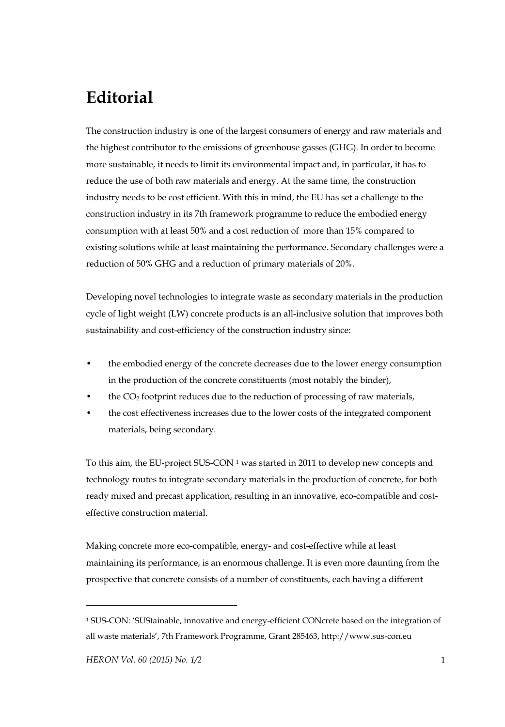## **Editorial**

The construction industry is one of the largest consumers of energy and raw materials and the highest contributor to the emissions of greenhouse gasses (GHG). In order to become more sustainable, it needs to limit its environmental impact and, in particular, it has to reduce the use of both raw materials and energy. At the same time, the construction industry needs to be cost efficient. With this in mind, the EU has set a challenge to the construction industry in its 7th framework programme to reduce the embodied energy consumption with at least 50% and a cost reduction of more than 15% compared to existing solutions while at least maintaining the performance. Secondary challenges were a reduction of 50% GHG and a reduction of primary materials of 20%.

Developing novel technologies to integrate waste as secondary materials in the production cycle of light weight (LW) concrete products is an all-inclusive solution that improves both sustainability and cost-efficiency of the construction industry since:

- the embodied energy of the concrete decreases due to the lower energy consumption in the production of the concrete constituents (most notably the binder),
- the  $CO<sub>2</sub>$  footprint reduces due to the reduction of processing of raw materials,
- the cost effectiveness increases due to the lower costs of the integrated component materials, being secondary.

To this aim, the EU-project SUS-CON 1 was started in 2011 to develop new concepts and technology routes to integrate secondary materials in the production of concrete, for both ready mixed and precast application, resulting in an innovative, eco-compatible and costeffective construction material.

Making concrete more eco-compatible, energy- and cost-effective while at least maintaining its performance, is an enormous challenge. It is even more daunting from the prospective that concrete consists of a number of constituents, each having a different

 $\overline{a}$ 

<sup>1</sup> SUS-CON: 'SUStainable, innovative and energy-efficient CONcrete based on the integration of all waste materials', 7th Framework Programme, Grant 285463, http://www.sus-con.eu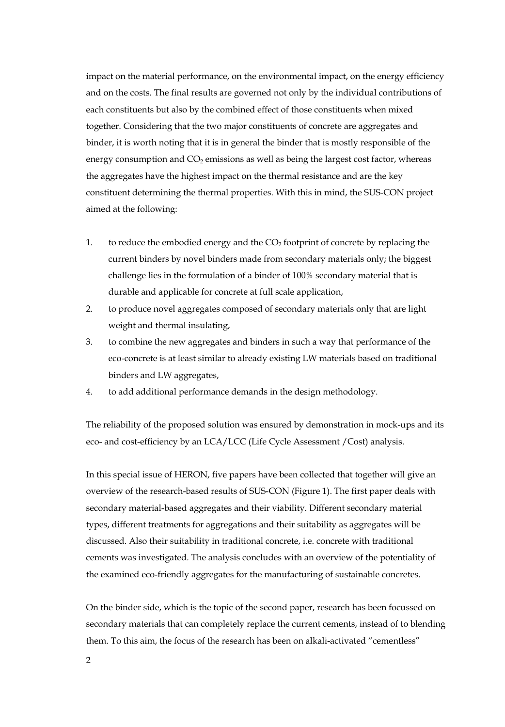impact on the material performance, on the environmental impact, on the energy efficiency and on the costs. The final results are governed not only by the individual contributions of each constituents but also by the combined effect of those constituents when mixed together. Considering that the two major constituents of concrete are aggregates and binder, it is worth noting that it is in general the binder that is mostly responsible of the energy consumption and  $CO<sub>2</sub>$  emissions as well as being the largest cost factor, whereas the aggregates have the highest impact on the thermal resistance and are the key constituent determining the thermal properties. With this in mind, the SUS-CON project aimed at the following:

- 1. to reduce the embodied energy and the  $CO<sub>2</sub>$  footprint of concrete by replacing the current binders by novel binders made from secondary materials only; the biggest challenge lies in the formulation of a binder of 100% secondary material that is durable and applicable for concrete at full scale application,
- 2. to produce novel aggregates composed of secondary materials only that are light weight and thermal insulating,
- 3. to combine the new aggregates and binders in such a way that performance of the eco-concrete is at least similar to already existing LW materials based on traditional binders and LW aggregates,
- 4. to add additional performance demands in the design methodology.

The reliability of the proposed solution was ensured by demonstration in mock-ups and its eco- and cost-efficiency by an LCA/LCC (Life Cycle Assessment /Cost) analysis.

In this special issue of HERON, five papers have been collected that together will give an overview of the research-based results of SUS-CON (Figure 1). The first paper deals with secondary material-based aggregates and their viability. Different secondary material types, different treatments for aggregations and their suitability as aggregates will be discussed. Also their suitability in traditional concrete, i.e. concrete with traditional cements was investigated. The analysis concludes with an overview of the potentiality of the examined eco-friendly aggregates for the manufacturing of sustainable concretes.

On the binder side, which is the topic of the second paper, research has been focussed on secondary materials that can completely replace the current cements, instead of to blending them. To this aim, the focus of the research has been on alkali-activated "cementless"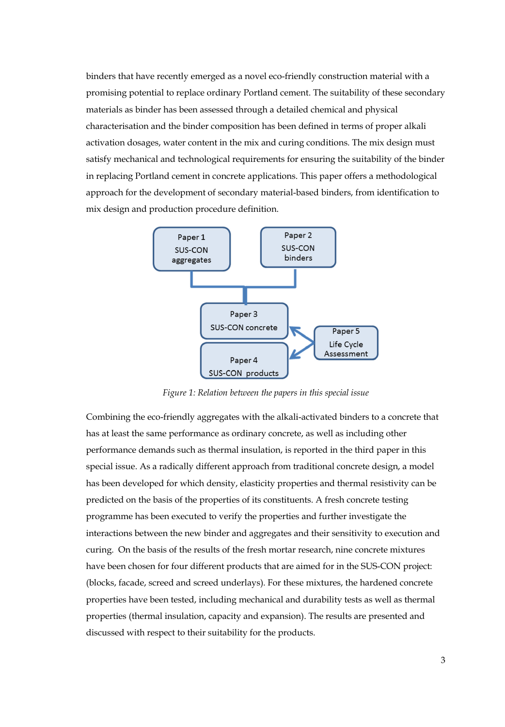binders that have recently emerged as a novel eco-friendly construction material with a promising potential to replace ordinary Portland cement. The suitability of these secondary materials as binder has been assessed through a detailed chemical and physical characterisation and the binder composition has been defined in terms of proper alkali activation dosages, water content in the mix and curing conditions. The mix design must satisfy mechanical and technological requirements for ensuring the suitability of the binder in replacing Portland cement in concrete applications. This paper offers a methodological approach for the development of secondary material-based binders, from identification to mix design and production procedure definition.



*Figure 1: Relation between the papers in this special issue* 

Combining the eco-friendly aggregates with the alkali-activated binders to a concrete that has at least the same performance as ordinary concrete, as well as including other performance demands such as thermal insulation, is reported in the third paper in this special issue. As a radically different approach from traditional concrete design, a model has been developed for which density, elasticity properties and thermal resistivity can be predicted on the basis of the properties of its constituents. A fresh concrete testing programme has been executed to verify the properties and further investigate the interactions between the new binder and aggregates and their sensitivity to execution and curing. On the basis of the results of the fresh mortar research, nine concrete mixtures have been chosen for four different products that are aimed for in the SUS-CON project: (blocks, facade, screed and screed underlays). For these mixtures, the hardened concrete properties have been tested, including mechanical and durability tests as well as thermal properties (thermal insulation, capacity and expansion). The results are presented and discussed with respect to their suitability for the products.